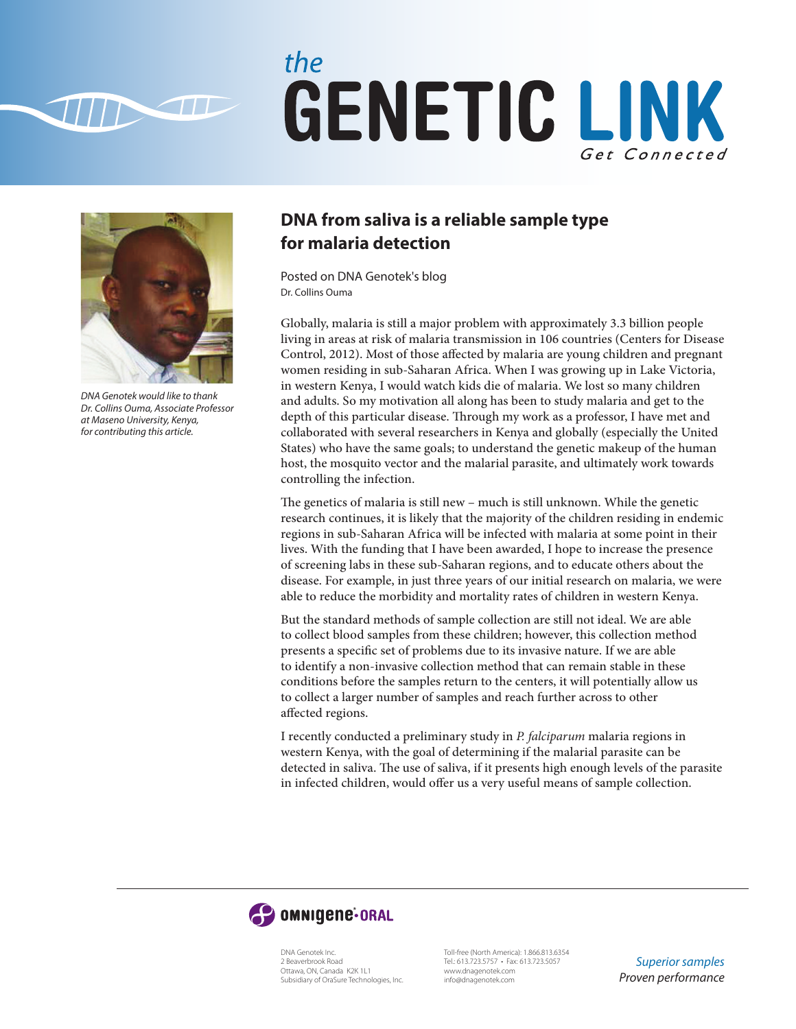

## the GENETIC LINK Get Connected



*DNA Genotek would like to thank Dr. Collins Ouma, Associate Professor at Maseno University, Kenya, for contributing this article.*

## **DNA from saliva is a reliable sample type for malaria detection**

Posted on DNA Genotek's blog Dr. Collins Ouma

Globally, malaria is still a major problem with approximately 3.3 billion people living in areas at risk of malaria transmission in 106 countries (Centers for Disease Control, 2012). Most of those affected by malaria are young children and pregnant women residing in sub-Saharan Africa. When I was growing up in Lake Victoria, in western Kenya, I would watch kids die of malaria. We lost so many children and adults. So my motivation all along has been to study malaria and get to the depth of this particular disease. Through my work as a professor, I have met and collaborated with several researchers in Kenya and globally (especially the United States) who have the same goals; to understand the genetic makeup of the human host, the mosquito vector and the malarial parasite, and ultimately work towards controlling the infection.

The genetics of malaria is still new – much is still unknown. While the genetic research continues, it is likely that the majority of the children residing in endemic regions in sub-Saharan Africa will be infected with malaria at some point in their lives. With the funding that I have been awarded, I hope to increase the presence of screening labs in these sub-Saharan regions, and to educate others about the disease. For example, in just three years of our initial research on malaria, we were able to reduce the morbidity and mortality rates of children in western Kenya.

But the standard methods of sample collection are still not ideal. We are able to collect blood samples from these children; however, this collection method presents a specific set of problems due to its invasive nature. If we are able to identify a non-invasive collection method that can remain stable in these conditions before the samples return to the centers, it will potentially allow us to collect a larger number of samples and reach further across to other affected regions.

I recently conducted a preliminary study in *P. falciparum* malaria regions in western Kenya, with the goal of determining if the malarial parasite can be detected in saliva. The use of saliva, if it presents high enough levels of the parasite in infected children, would offer us a very useful means of sample collection.



DNA Genotek Inc. 2 Beaverbrook Road Ottawa, ON, Canada K2K 1L1 Subsidiary of OraSure Technologies, Inc.

Toll-free (North America): 1.866.813.6354 Tel.: 613.723.5757 • Fax: 613.723.5057 www.dnagenotek.com info@dnagenotek.com

*Superior samples Proven performance*